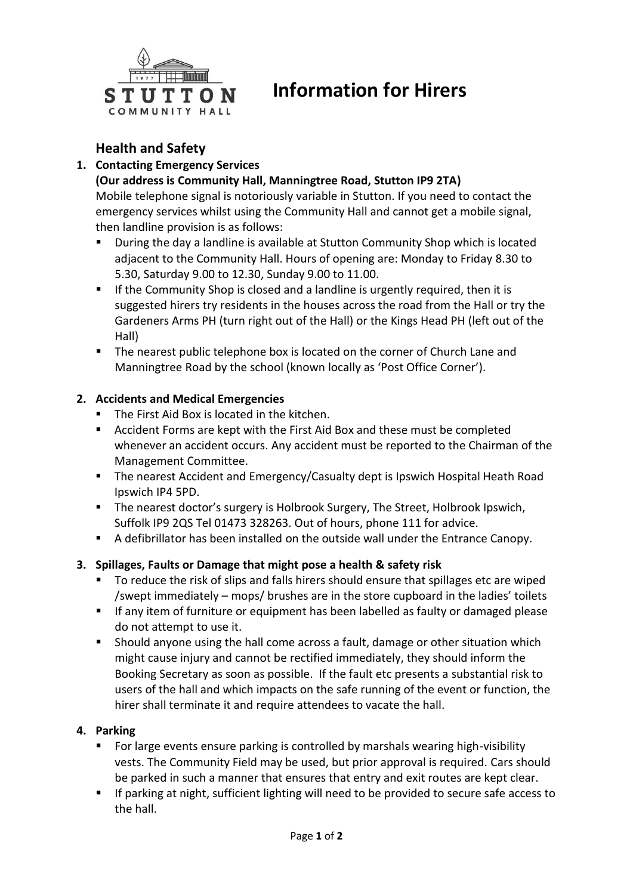

# **Information for Hirers**

## **Health and Safety**

### **1. Contacting Emergency Services**

#### **(Our address is Community Hall, Manningtree Road, Stutton IP9 2TA)**

Mobile telephone signal is notoriously variable in Stutton. If you need to contact the emergency services whilst using the Community Hall and cannot get a mobile signal, then landline provision is as follows:

- **During the day a landline is available at Stutton Community Shop which is located** adjacent to the Community Hall. Hours of opening are: Monday to Friday 8.30 to 5.30, Saturday 9.00 to 12.30, Sunday 9.00 to 11.00.
- **If the Community Shop is closed and a landline is urgently required, then it is** suggested hirers try residents in the houses across the road from the Hall or try the Gardeners Arms PH (turn right out of the Hall) or the Kings Head PH (left out of the Hall)
- **The nearest public telephone box is located on the corner of Church Lane and** Manningtree Road by the school (known locally as 'Post Office Corner').

#### **2. Accidents and Medical Emergencies**

- The First Aid Box is located in the kitchen.
- Accident Forms are kept with the First Aid Box and these must be completed whenever an accident occurs. Any accident must be reported to the Chairman of the Management Committee.
- **The nearest Accident and Emergency/Casualty dept is Ipswich Hospital Heath Road** Ipswich IP4 5PD.
- **The nearest doctor's surgery is Holbrook Surgery, The Street, Holbrook Ipswich,** Suffolk IP9 2QS Tel 01473 328263. Out of hours, phone 111 for advice.
- A defibrillator has been installed on the outside wall under the Entrance Canopy.

#### **3. Spillages, Faults or Damage that might pose a health & safety risk**

- To reduce the risk of slips and falls hirers should ensure that spillages etc are wiped /swept immediately – mops/ brushes are in the store cupboard in the ladies' toilets
- **If any item of furniture or equipment has been labelled as faulty or damaged please** do not attempt to use it.
- Should anyone using the hall come across a fault, damage or other situation which might cause injury and cannot be rectified immediately, they should inform the Booking Secretary as soon as possible. If the fault etc presents a substantial risk to users of the hall and which impacts on the safe running of the event or function, the hirer shall terminate it and require attendees to vacate the hall.

#### **4. Parking**

- **For large events ensure parking is controlled by marshals wearing high-visibility** vests. The Community Field may be used, but prior approval is required. Cars should be parked in such a manner that ensures that entry and exit routes are kept clear.
- If parking at night, sufficient lighting will need to be provided to secure safe access to the hall.